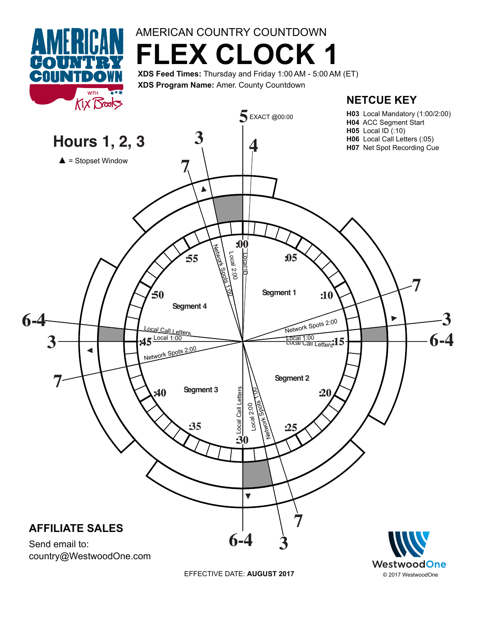

## AMERICAN COUNTRY COUNTDOWN **FLEX CLOCK 1**

**XDS Feed Times:** Thursday and Friday 1:00AM - 5:00 AM (ET) **XDS Program Name:** Amer. County Countdown



© 2017 WestwoodOne



EFFECTIVE DATE: **AUGUST 2017**